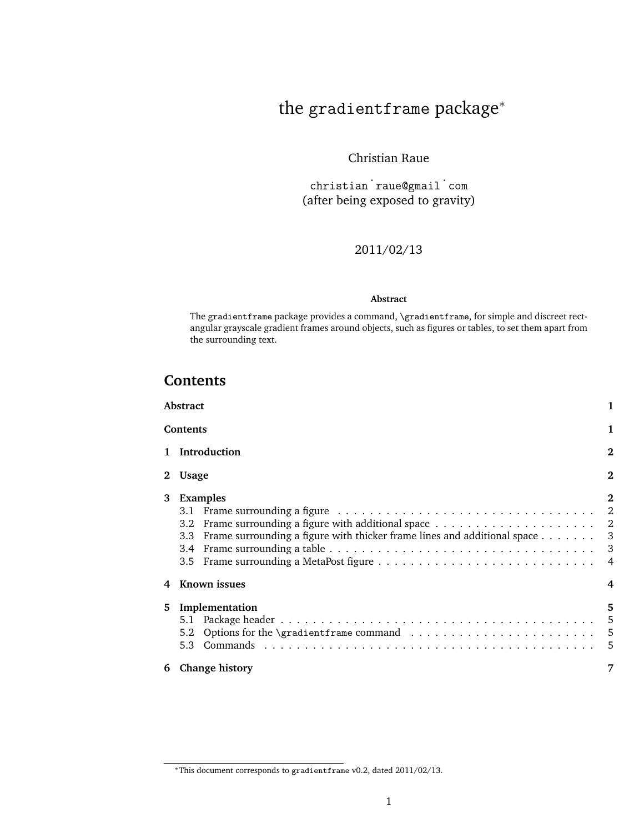# the gradientframe package<sup>∗</sup>

## Christian Raue

christian ˙ raue@gmail ˙ com (after being exposed to gravity)

### 2011/02/13

#### **Abstract**

The gradientframe package provides a command, \gradientframe, for simple and discreet rectangular grayscale gradient frames around objects, such as figures or tables, to set them apart from the surrounding text.

## **Contents**

|   | Abstract                                                                                             | 1              |  |  |  |  |
|---|------------------------------------------------------------------------------------------------------|----------------|--|--|--|--|
|   | 1<br>Contents                                                                                        |                |  |  |  |  |
|   | 1 Introduction                                                                                       |                |  |  |  |  |
|   | <b>Usage</b>                                                                                         |                |  |  |  |  |
| 3 | <b>Examples</b><br>Frame surrounding a figure with thicker frame lines and additional space 3<br>3.3 | $\overline{2}$ |  |  |  |  |
| 4 | Known issues                                                                                         | 4              |  |  |  |  |
| 5 | Implementation                                                                                       | 5              |  |  |  |  |
| 6 | <b>Change history</b>                                                                                | 7              |  |  |  |  |

<sup>∗</sup>This document corresponds to gradientframe v0.2, dated 2011/02/13.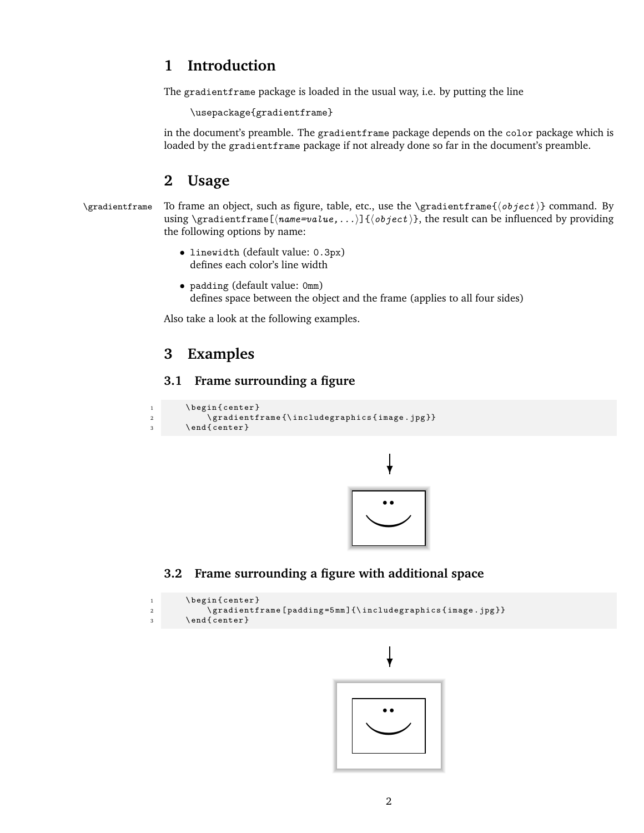# <span id="page-1-0"></span>**1 Introduction**

The gradientframe package is loaded in the usual way, i.e. by putting the line

```
\usepackage{gradientframe}
```
in the document's preamble. The gradientframe package depends on the color package which is loaded by the gradientframe package if not already done so far in the document's preamble.

# **2 Usage**

```
\langle \alpha To frame an object, such as figure, table, etc., use the \langle \alpha is \alpha \beta command. By
                  using \gradientframe[\langle name=value,....\rangle]{\langle object\rangle}, the result can be influenced by providing
                  the following options by name:
```
- linewidth (default value: 0.3px) defines each color's line width
- padding (default value: 0mm) defines space between the object and the frame (applies to all four sides)

Also take a look at the following examples.

# **3 Examples**

## **3.1 Frame surrounding a figure**

```
1 \begin{center}
2 \ gradientframe {\includegraphics { image . jpg } }
3 \ end { center }
```


#### **3.2 Frame surrounding a figure with additional space**

```
1 \begin{center}
2 \ gradientframe [padding=5mm] {\includegraphics { image . jpg } }
3 \ end { center }
```
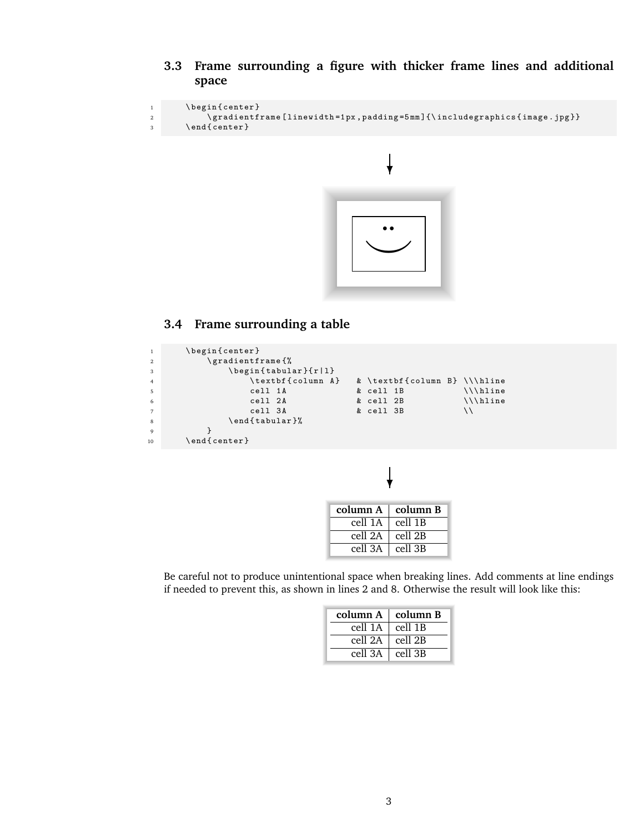<span id="page-2-0"></span>**3.3 Frame surrounding a figure with thicker frame lines and additional space**

```
1 \begin{center}
2 \ gradientframe [ linewidth =1 px , padding =5 mm ]{\ includegraphics { image . jpg }}
3 \ end { center }
```


## **3.4 Frame surrounding a table**

| <sup>1</sup>     | \begin{center}                                |  |                              |  |                 |  |  |  |
|------------------|-----------------------------------------------|--|------------------------------|--|-----------------|--|--|--|
| <sup>2</sup>     | \gradientframe{%                              |  |                              |  |                 |  |  |  |
| $\overline{3}$   | $\begin{cases} \frac{tabular}{r} \end{cases}$ |  |                              |  |                 |  |  |  |
| $\overline{4}$   | \textbf{column A}                             |  | & \textbf{column B} \\\hline |  |                 |  |  |  |
| - 5              | cell 1A                                       |  | & cell 1B                    |  | $\{\{\hat{h}\}$ |  |  |  |
| 6                | cell 2A                                       |  | & cell 2B                    |  | \\\hline        |  |  |  |
| $7\overline{ }$  | cell 3A                                       |  | & cell 3B                    |  |                 |  |  |  |
| 8                | \end{tabular}%                                |  |                              |  |                 |  |  |  |
| $\mathbf{Q}$     |                                               |  |                              |  |                 |  |  |  |
| 10 <sup>10</sup> | $\end{epsilon}$                               |  |                              |  |                 |  |  |  |



| column $A \perp$ column B |
|---------------------------|
| cell $1\overline{B}$      |
| cell 2B                   |
| $ $ cell $3B$             |
|                           |

Be careful not to produce unintentional space when breaking lines. Add comments at line endings if needed to prevent this, as shown in lines 2 and 8. Otherwise the result will look like this:

| column $A \mid$ column B |                 |
|--------------------------|-----------------|
| cell 1A                  | $\vert$ cell 1B |
| cell 2A                  | $ $ cell 2B     |
| cell $3A \mid$ cell $3B$ |                 |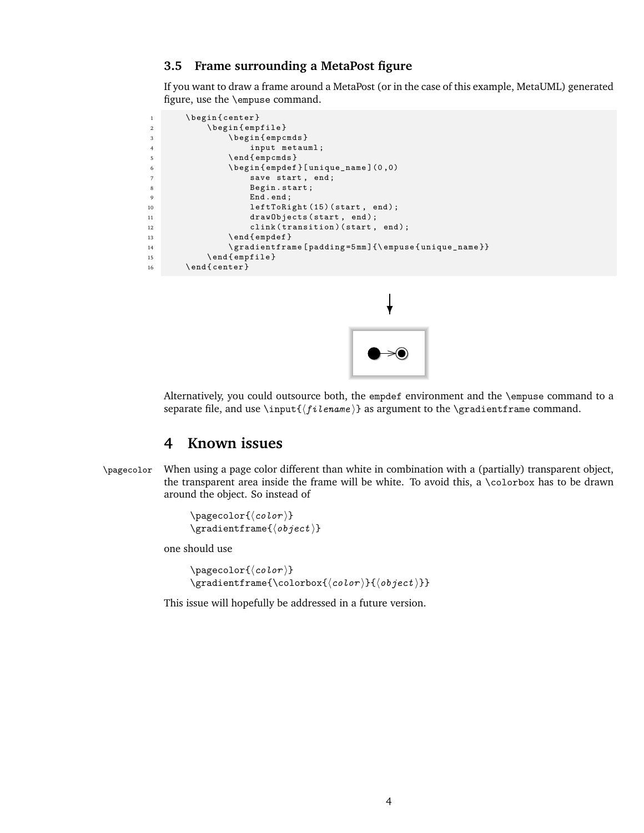#### <span id="page-3-0"></span>**3.5 Frame surrounding a MetaPost figure**

If you want to draw a frame around a MetaPost (or in the case of this example, MetaUML) generated figure, use the \empuse command.

```
1 \begin{center}
2 \ begin { empfile }
3 \ begin { empcmds }
4 input metauml ;
5 \ end { empcmds }
6 \ begin { empdef }[ unique_name ](0 ,0)
7 save start, end;
8 Begin . start;
9 End . end ;
10 leftToRight (15) (start, end);
11 drawObjects (start, end);
12 clink (transition) (start, end);
13 \ end { empdef }
14 \gradientframe [padding=5mm]{\empuse {unique_name }}
15 \ end { empfile }
16 \ end { center }
```


Alternatively, you could outsource both, the empdef environment and the \empuse command to a separate file, and use  $\in{\{filename\}}$  as argument to the  $\grangle$ radientframe command.

## **4 Known issues**

\pagecolor When using a page color different than white in combination with a (partially) transparent object, the transparent area inside the frame will be white. To avoid this, a \colorbox has to be drawn around the object. So instead of

```
\pagecolor{(color)}
\sqrt{\frac{\text{gradientframe}(\text{object})}}
```
one should use

```
\pagecolor{\langle color \rangle}
\gradientframe{\colorbox{\color}}{\object\}}}
```
This issue will hopefully be addressed in a future version.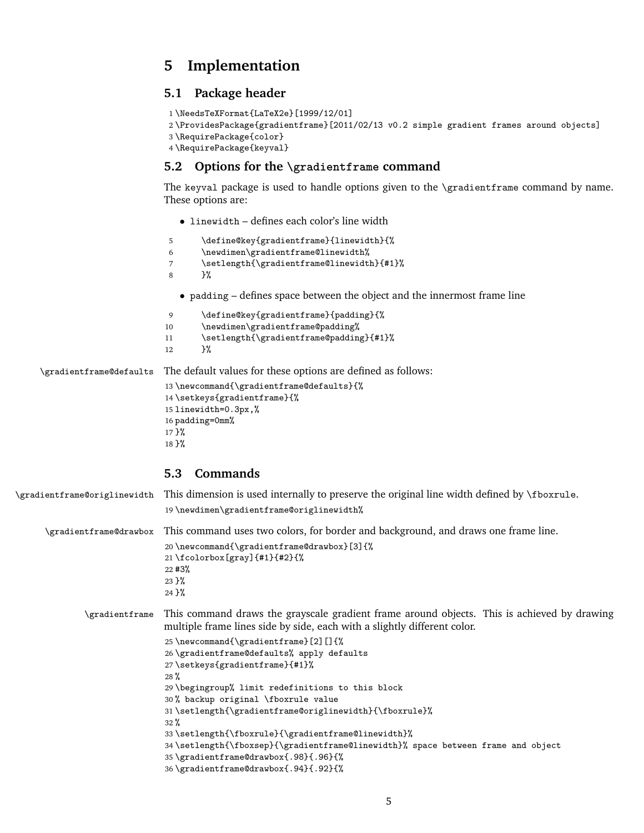# <span id="page-4-0"></span>**5 Implementation**

#### **5.1 Package header**

```
1 \NeedsTeXFormat{LaTeX2e}[1999/12/01]
2 \ProvidesPackage{gradientframe}[2011/02/13 v0.2 simple gradient frames around objects]
3 \RequirePackage{color}
4 \RequirePackage{keyval}
```
#### **5.2 Options for the \gradientframe command**

The keyval package is used to handle options given to the \gradientframe command by name. These options are:

• linewidth – defines each color's line width

```
5 \define@key{gradientframe}{linewidth}{%
                        6 \newdimen\gradientframe@linewidth%
                        7 \setlength{\gradientframe@linewidth}{#1}%
                        8 }%
                          • padding – defines space between the object and the innermost frame line
                        9 \define@key{gradientframe}{padding}{%
                        10 \newdimen\gradientframe@padding%
                        11 \setlength{\gradientframe@padding}{#1}%
                        12 }%
\gradientframe@defaults The default values for these options are defined as follows:
                        13 \newcommand{\gradientframe@defaults}{%
                        14 \setkeys{gradientframe}{%
                        15 linewidth=0.3px,%
                        16 padding=0mm%
                        17 }%
                        18 }%
                       5.3 Commands
```

```
\gradientframe@origlinewidth This dimension is used internally to preserve the original line width defined by \fboxrule.
                               19 \newdimen\gradientframe@origlinewidth%
      \gradientframe@drawbox This command uses two colors, for border and background, and draws one frame line.
                               20 \newcommand{\gradientframe@drawbox}[3]{%
                               21 \fcolorbox[gray]{#1}{#2}{%
                               22 #3%
                               23 }%
                               24 }%
              \gradientframe This command draws the grayscale gradient frame around objects. This is achieved by drawing
                               multiple frame lines side by side, each with a slightly different color.
                               25 \newcommand{\gradientframe}[2][]{%
                               26 \gradientframe@defaults% apply defaults
                               27 \setkeys{gradientframe}{#1}%
                               28 %
                               29 \begingroup% limit redefinitions to this block
                               30 % backup original \fboxrule value
                               31 \setlength{\gradientframe@origlinewidth}{\fboxrule}%
                               32 %
                               33 \setlength{\fboxrule}{\gradientframe@linewidth}%
                               34 \setlength{\fboxsep}{\gradientframe@linewidth}% space between frame and object
                               35 \gradientframe@drawbox{.98}{.96}{%
                               36 \gradientframe@drawbox{.94}{.92}{%
```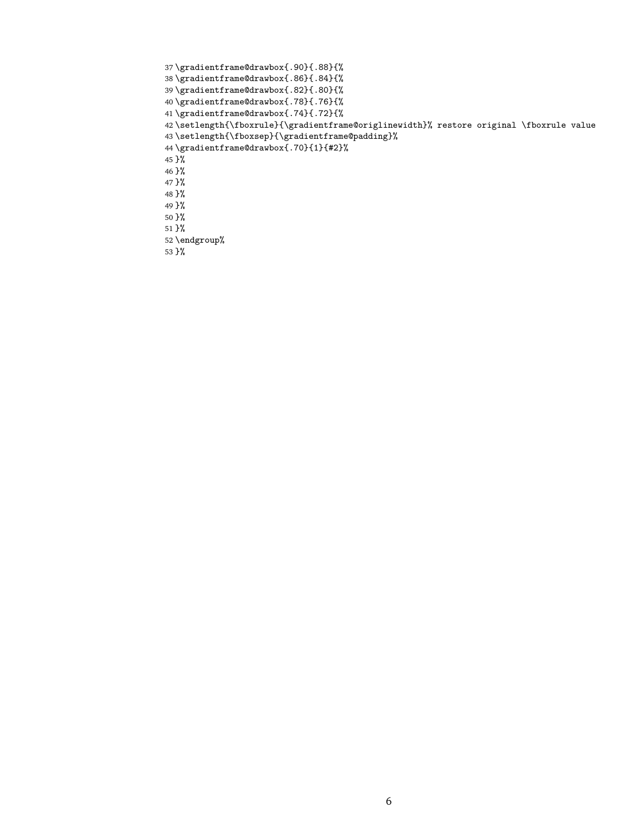```
37 \gradientframe@drawbox{.90}{.88}{%
38 \gradientframe@drawbox{.86}{.84}{%
39 \gradientframe@drawbox{.82}{.80}{%
40 \gradientframe@drawbox{.78}{.76}{%
41 \gradientframe@drawbox{.74}{.72}{%
42 \setminus \setminus \{ \for all \ell \} \43 \setlength{\fboxsep}{\gradientframe@padding}%
44 \gradientframe@drawbox{.70}{1}{#2}%
45 }%
46 }%
47 }%
48 }%
49 }%
50 }%
51 }%
52 \endgroup%
53 }%
```